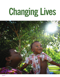# **Changing Lives**

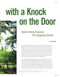## with a Knock **on the Door**

### **Home Visiting Programs for Struggling Families**

#### **by Lauren Blundin**

Jalisa Terry was pregnant, broke, and alone. Her boyfriend kicked her out of his apartment and threw her clothes out of the window when he found out she was pregnant. Terry sat in a restaurant next to her pillowcase stuffed with clothing and wondered what to do next. Then she remembered she had a phone number for Susan Timmons, the supervisor for the Women's Health Initiative (WHIN) in West Palm Beach. Timmons had met Terry the year before when she miscarried a previous pregnancy. Terry made the call, and in no time Susan Timmons was sitting in the restaurant with her. After speaking for a bit, Timmons made a series of phone calls to arrange for shelter and other short-term assistance for Terry. She also enrolled Terry in WHIN's nurse home visiting program.

The WHIN program is specifically targeted toward black mothers at risk of poor birth outcomes. Program participants are paired with a nurse who visits their home to support them during pregnancy and after childbirth, through the child's first year. Nurses teach the mothers about developmental stages, nutrition, and more. The intensive support program is based on a national evidence-based model, and it changes lives. "If I did not have the WHIN program, who can say where I would have ended up," Terry says. "I would probably still be in a bad relationship, being abused. Mya (her daughter) may or may not be here. I cannot say I would

The Healthy Mothers Healthy Babies home visiting program improves birth outcomes by supporting pregnant women and teens in Palm Beach County, Florida.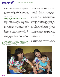have been able to give Mya the quality care, love, and attention that she needs and deserves if I did not have Miss Susan, the WHIN program, or the Children's Services Council with all the programs they have in place." Today Terry is a confident mother to Mya, who is healthy and happy, and works as a phlebotomist while studying to become a medical assistant. Her longer-term goal is to become an obstetrician.

#### **A Helping Hand for Pregnant Women and Mothers of Young Children**

Across the country, government agencies and nonprofits are acting on the evidence that home visiting programs can have a significant, positive effect on families. Home visiting programs like WHIN are voluntary, locally-managed programs that support the physical and emotional development of children (prenatally through age five) and also support the overall family. In addition to monitoring a woman's pregnancy, a home visitor might provide information on child development, parenting strategies, counseling resources, continuing education, employment, and quality child care. The home visitor builds a relationship with the family and works in partnership with parents to improve maternal and child health, prevent child abuse and neglect, encourage positive parenting, and promote child development and school readiness.

The Nurse-Family Partnership model of home visiting targets first-time mothers those with high rates of fetal and infant mortality, poverty, and and their children. Nurses visit pregnant women in their homes regularly throughout their pregnancy and afterwards, helping new mothers bond to their baby and learn about infant and child development.

A home visitor might, for example, help an expectant mother access prenatal care and help her reduce her use of tobacco, alcohol, or illegal drugs. After the birth of the child, a home visitor might then support the new mother in breastfeeding and learning to care for a newborn, educating her on child development milestones, and providing information on positive parenting strategies. Home visiting programs also facilitate screenings and referrals to address postpartum depression, substance abuse, family violence, and developmental delays.

All of this support is invaluable to program participants, many of whom have not had strong parenting models of their own to lead them. With the knowledge provided by the home visitor, parents are given the tools they need to confidently assume the role of their child's first teacher. "Through my home visitor's help, I can help my baby grow better, or stimulate her mind the right way, or know what she is supposed to be doing [at a particular stage]," says an Illinois mother who has benefited from a Healthy Families America home visiting program. "Because otherwise I would just be like, 'Okay, what do you want?' I would not know what parts of her brain are developing at what time. And I just might be able to encourage her growth so she becomes the best little girl that she can be."

Federal funds for home visiting programs are intended to support communities with poor outcomes for children, such as

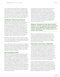crime. National data from 2014 on home visiting shows that these programs are reaching children and families who are at risk of poor outcomes: 79 percent of participating families had household incomes at or below federal poverty guidelines (an annual income of less than \$23,850 for a family of four), and of newly enrolled households, 27 percent included pregnant teens, 20 percent reported a history of child abuse and maltreatment, and 12 percent reported substance abuse.

#### **Expanding Home Visiting Programs Nationwide**

In 2010 Congress created and invested \$1.5 billion in the Maternal, Infant, and Early Childhood Home Visiting Program (MIECHV). (Home visiting programs existed before then, and were shown by research to improve child outcomes, but the 2010 federal program represented the first time there was a nationwide expansion of home visiting programs.) The Health Resources and Services Administration administers the MIECHV program in partnership with the Administration for Children and Families. As a result of the 2010 investment in expansion, home visiting programs now exist in all 50 states. In 2014, the programs served approximately 115,500 parents and children, which is triple the number served in 2012.

MIECHV provides funding and technical assistance to states, but the individual programs are locally managed. States choose which home visiting model to use and support local agencies in delivering the home visiting services.

Home visiting program models vary somewhat (e.g., some serve pregnant women while others support families after childbirth), but there are commonalities. In all models, visitors are trained professionals who meet regularly with families, build positive relationships with them, evaluate each family's needs, and provide services based on those needs.

#### **Home Visiting Models That Work**

By law, states must spend the majority of federal home visiting funds on evidence-based models of home visiting programs. But which programs can be considered evidence-based? To address the issue, the U.S. Department of Health and Human Services (DHHS) arranged a thorough review of home visiting research to identify program models that meet its criteria for a research-based home visiting model. The review— called the Home Visiting Evidence of Effectiveness (HomVEE) review examined the impact home visiting models had among measures in eight domains: child health; maternal health; child development and school readiness; reductions in child maltreatment; reductions in juvenile delinquency, family violence, and crime; positive parenting practices; family economic self-sufficiency; and linkages and referrals.

As of February 2015, 17 home visiting models met the criteria established by the DHHS for an evidence-based model. A HomVEE report specifically recognized two of those models, Healthy Families America and Nurse-Family Partnership, for their positive impact on measures in multiple domains. Healthy Families America visits begin prenatally and are hour-long and weekly until children are six months old, when visits may lessen in frequency but continue until children are three to five years old. The Nurse-Family Partnership program targets first-time mothers and their children. Visits begin prenatally and end when the child turns two years old.

*Baltimore, Maryland and Palm Beach County, Florida are just two examples where government agencies and nonprofits have joined forces to provide appropriate home visiting programs for mothers and families.* 

Needs vary among families, leading states to use a combination of home visiting models to ensure families have access to a model with an appropriate level of intensity for their needs. Baltimore, Maryland and Palm Beach County, Florida are just two examples where government agencies and nonprofits have joined forces to provide appropriate home visiting programs for mothers and families.

#### **Home Visiting in Action: B'more for Healthy Babies**

In 2009, Baltimore had the fourth highest infant mortality rate in the nation. City policymakers conducted a needs assessment and literature review to identify problems and potential solutions. They identified home visiting as a critical piece of an overall early childhood system of care. Although home visiting existed in the city, the programs were disparate, did not share strategies, and did not provide service to all areas of the city. Baltimore policymakers designed an aligned system of care that includes home visiting programs based on the Nurse-Family Partnership and Healthy Families America models. Key features of the program are a central system to identify mothers and a single point of entry into the home visiting program.

"B'More for Healthy Babies is Baltimore's initiative to reduce infant mortality," says Laura Latta, director of early childhood initiatives for B'more for Healthy Babies and Family League of Baltimore. "The initiative is led out of the Baltimore City Health Department with two main implementing partners: The Family League of Baltimore and Healthcare Access Maryland." Because the need for support outweighs the city's capacity to provide it, B'More for Healthy Babies uses a triage approach.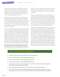"Basically there are about 8,000 – 9,000 births annually," says Latta, "and of those births about 5,000 – 6000 are Medicaid eligible. But there are only 1,500 –2,100 home visiting slots. So, regardless, we are not able to provide intensive one-on-one services to everyone. We want to make sure the women who need them the most are getting connected."

When women are screened for the home visiting program by Healthcare Access Maryland (the intake partner for B'More for Healthy Babies), the intake worker applies a "vulnerability index." The index ensures women are matched to home visiting services based on their risk profiles for poor birth outcomes, rather than by zip code or census data, which was previously the case. This way, women at the most risk will receive the most help as soon as possible.

"What we had in Baltimore before B'More for Healthy Babies was nine or ten different home visiting programs operating on their own, with differing models and curriculum, and only one was evidence-based," says Latta. "We brought the funding streams and agencies together and now we have a citywide system that includes home visiting." The city's efforts have paid off. In 2014 Baltimore had an all-time low for the number of infant deaths related to unsafe sleep (13 down from 27 in 2009). Sleep is considered safe when the baby is alone, on its back, and in a crib clear of toys, pillows, and blankets. Also, between 2009 and 2012, there was a 24 percent decrease in infant mortality and a 37 percent decrease in the racial disparities for infant mortality.

#### **Home Visiting in Action: Palm Beach County, Florida**

The Children's Services Council of Palm Beach County is a special taxing district created by voters in 1986 to tax and fund

initiatives to support children and families. The Council funds different services and programs in the community, training for providers and professionals, and research and evaluation of programs.

The system of early childhood care screens the needs of the community and families and then refers families to appropriate programs. "We have a robust data system," says Lisa Williams-Taylor, CEO of Children's Services Council of Palm Beach County. "We can see the number of births, and of those how many were screened, how many were at risk, how many declined services, and how many accepted services. We can use this data to see where we can we do a better job of explaining services, and it helps us figure out how to meet the needs of the families."

As in Baltimore, the Palm Beach County home visiting programs include the Nurse-Family Partnership and Healthy Families America models. The County includes a number of other models, including Child-First, an early childhood intervention program aimed at decreasing serious emotional disturbance, abuse, and neglect. It is an intense, six-month program that involves a caseworker, case manager, and clinical therapist. "Providers were seeing many more families struggling with domestic violence, substance abuse, and mental illness," says Williams-Taylor, "and while the other programs do work to reduce abuse and neglect, there was just an influx of families that were needing intense mental health treatment. Child-First has really been shown to be effective in Connecticut where adults are grappling with domestic abuse and neglect." Palm Beach County will be the first location to replicate the program outside of Connecticut.

#### **For more information on home visiting programs:**

- Children's Services Council of Palm Beach County: [www.cscpbc.org](http://www.cscpbc.org)
- B'More for Healthy Babies: **[www.healthybabiesbaltimore.com](http://www.healthybabiesbaltimore.com)**
- Nurse-Family Partnership: **[www.nursefamilypartnership.org](http://www.nursefamilypartnership.org)**
- Healthy Families America: [www.healthyfamiliesamerica.org](http://www.healthyfamiliesamerica.org/home/index.shtml)
- U.S. Department of Human Services, Maternal, Infant, and Early Childhood Home Visiting (MIECHV): **<http://mchb.hrsa.gov/programs/homevisiting/>**
- Home Visiting Evidence of Effectiveness (HomVEE) Review: <http://homvee.acf.hhs.gov/>
- Pew Charitable Trusts: **<http://www.pewtrusts.org/en/projects/home-visiting-campaign>** (Information about home visiting, video of a home visit, policy analyses, links to research studies on home visiting.)